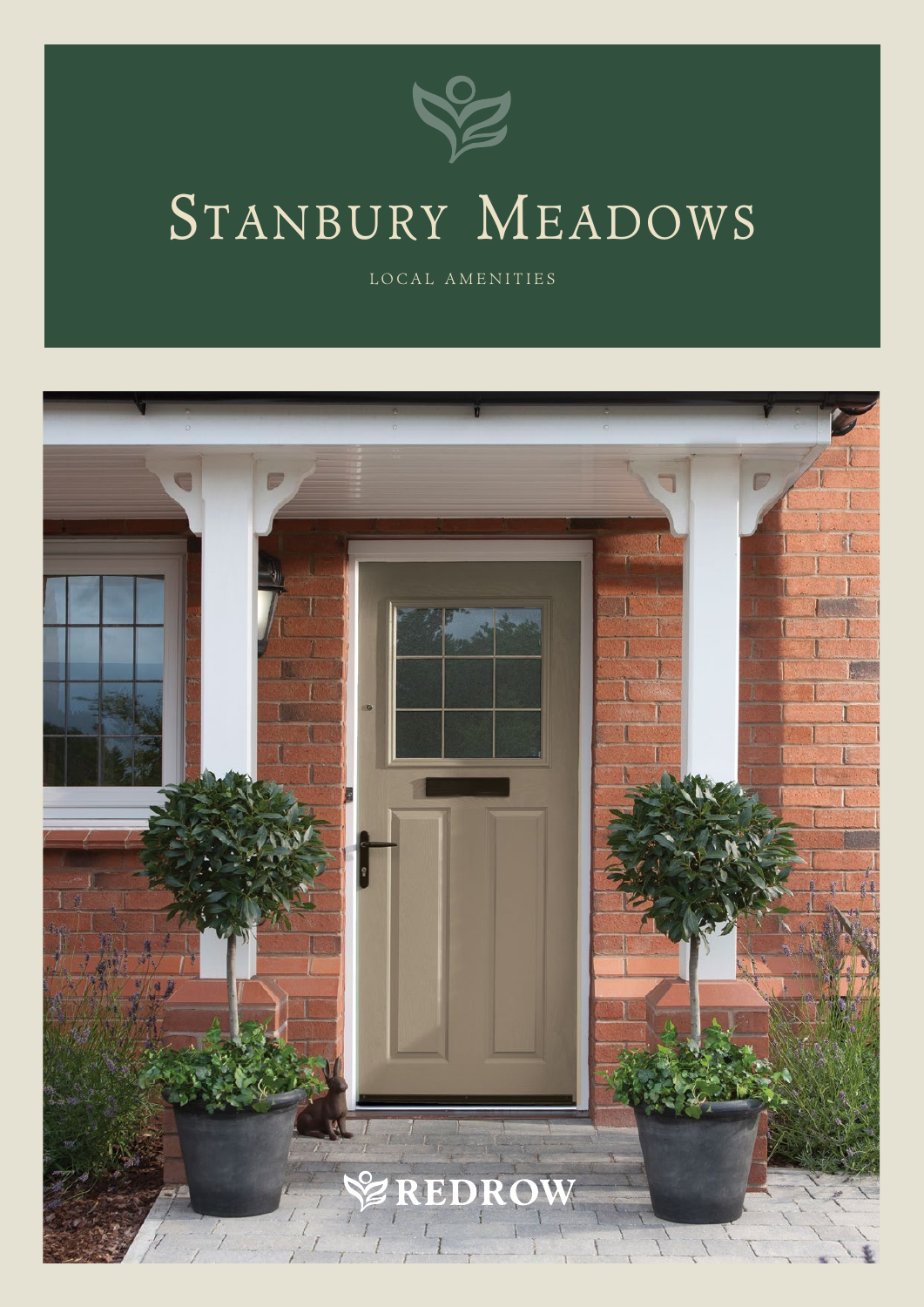

## STANBURY MEADOWS

LOCAL AMENITIES

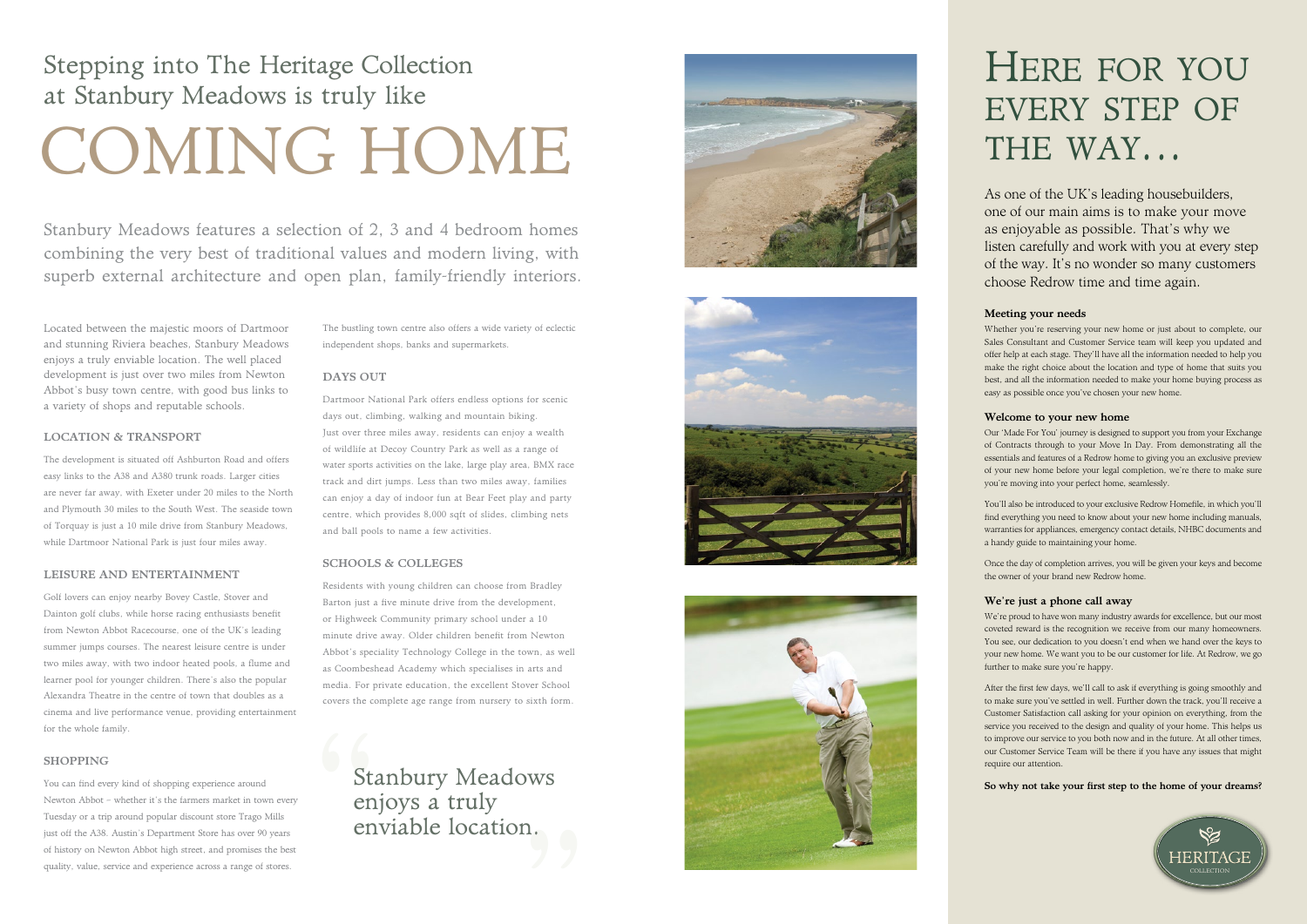#### Meeting your needs

Whether you're reserving your new home or just about to complete, our Sales Consultant and Customer Service team will keep you updated and offer help at each stage. They'll have all the information needed to help you make the right choice about the location and type of home that suits you best, and all the information needed to make your home buying process as easy as possible once you've chosen your new home.

#### Welcome to your new home

Our 'Made For You' journey is designed to support you from your Exchange of Contracts through to your Move In Day. From demonstrating all the essentials and features of a Redrow home to giving you an exclusive preview of your new home before your legal completion, we're there to make sure you're moving into your perfect home, seamlessly.

You'll also be introduced to your exclusive Redrow Homefile, in which you'll find everything you need to know about your new home including manuals, warranties for appliances, emergency contact details, NHBC documents and a handy guide to maintaining your home.

Once the day of completion arrives, you will be given your keys and become the owner of your brand new Redrow home.

#### We're just a phone call away

We're proud to have won many industry awards for excellence, but our most coveted reward is the recognition we receive from our many homeowners. You see, our dedication to you doesn't end when we hand over the keys to your new home. We want you to be our customer for life. At Redrow, we go further to make sure you're happy.

After the first few days, we'll call to ask if everything is going smoothly and to make sure you've settled in well. Further down the track, you'll receive a Customer Satisfaction call asking for your opinion on everything, from the service you received to the design and quality of your home. This helps us to improve our service to you both now and in the future. At all other times, our Customer Service Team will be there if you have any issues that might require our attention.

#### So why not take your first step to the home of your dreams?

As one of the UK's leading housebuilders, one of our main aims is to make your move as enjoyable as possible. That's why we listen carefully and work with you at every step of the way. It's no wonder so many customers



Located between the majestic moors of Dartmoor and stunning Riviera beaches, Stanbury Meadows enjoys a truly enviable location. The well placed development is just over two miles from Newton Abbot's busy town centre, with good bus links to a variety of shops and reputable schools.

> Stan<br>
> enjouwent Stanbury Meadows " enjoys a truly enviable location.







# HERE FOR YOU<br>EVERY STEP OF<br>THE WAY...<br>As one of the UK's leading housebuilders,<br>one of our main aims is to make your move<br>as enjoyable as possible. That's why we<br>listen carefully and work with you at every ste<br>of the way. every step of THE WAY...

#### LOCATION & TRANSPORT

The development is situated off Ashburton Road and offers easy links to the A38 and A380 trunk roads. Larger cities are never far away, with Exeter under 20 miles to the North and Plymouth 30 miles to the South West. The seaside town of Torquay is just a 10 mile drive from Stanbury Meadows, while Dartmoor National Park is just four miles away.

#### LEISURE AND ENTERTAINMENT

Golf lovers can enjoy nearby Bovey Castle, Stover and Dainton golf clubs, while horse racing enthusiasts benefit from Newton Abbot Racecourse, one of the UK's leading summer jumps courses. The nearest leisure centre is under two miles away, with two indoor heated pools, a flume and learner pool for younger children. There's also the popular Alexandra Theatre in the centre of town that doubles as a cinema and live performance venue, providing entertainment for the whole family.

#### SHOPPING

You can find every kind of shopping experience around Newton Abbot – whether it's the farmers market in town every Tuesday or a trip around popular discount store Trago Mills just off the A38. Austin's Department Store has over 90 years of history on Newton Abbot high street, and promises the best quality, value, service and experience across a range of stores.

The bustling town centre also offers a wide variety of eclectic independent shops, banks and supermarkets.

#### DAYS OUT

Dartmoor National Park offers endless options for scenic days out, climbing, walking and mountain biking. Just over three miles away, residents can enjoy a wealth of wildlife at Decoy Country Park as well as a range of water sports activities on the lake, large play area, BMX race track and dirt jumps. Less than two miles away, families can enjoy a day of indoor fun at Bear Feet play and party centre, which provides 8,000 sqft of slides, climbing nets and ball pools to name a few activities.

#### SCHOOLS & COLLEGES

Residents with young children can choose from Bradley Barton just a five minute drive from the development, or Highweek Community primary school under a 10 minute drive away. Older children benefit from Newton Abbot's speciality Technology College in the town, as well as Coombeshead Academy which specialises in arts and media. For private education, the excellent Stover School covers the complete age range from nursery to sixth form.

Stanbury Meadows features a selection of 2, 3 and 4 bedroom homes combining the very best of traditional values and modern living, with superb external architecture and open plan, family-friendly interiors.

## Stepping into The Heritage Collection at Stanbury Meadows is truly like COMING HOME